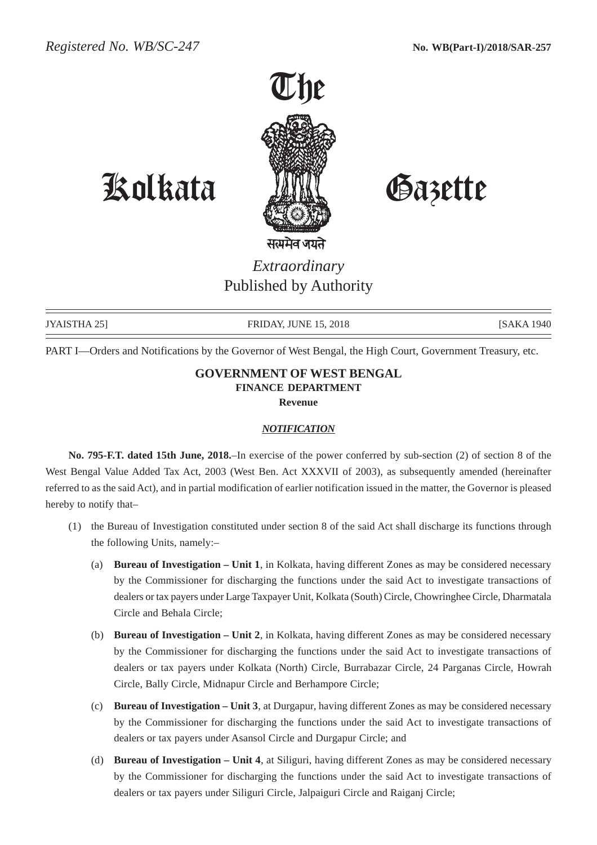

Kolkata Gazette

*Extraordinary* Published by Authority

JYAISTHA 25] FRIDAY, JUNE 15, 2018 **FRIDAY, FRIDAY**, FRIDAY, TUNE 15, 2018

PART I—Orders and Notifications by the Governor of West Bengal, the High Court, Government Treasury, etc.

## **GOVERNMENT OF WEST BENGAL FINANCE DEPARTMENT Revenue**

## *NOTIFICATION*

**No. 795-F.T. dated 15th June, 2018.**–In exercise of the power conferred by sub-section (2) of section 8 of the West Bengal Value Added Tax Act, 2003 (West Ben. Act XXXVII of 2003), as subsequently amended (hereinafter referred to as the said Act), and in partial modification of earlier notification issued in the matter, the Governor is pleased hereby to notify that–

- (1) the Bureau of Investigation constituted under section 8 of the said Act shall discharge its functions through the following Units, namely:–
	- (a) **Bureau of Investigation Unit 1**, in Kolkata, having different Zones as may be considered necessary by the Commissioner for discharging the functions under the said Act to investigate transactions of dealers or tax payers under Large Taxpayer Unit, Kolkata (South) Circle, Chowringhee Circle, Dharmatala Circle and Behala Circle;
	- (b) **Bureau of Investigation Unit 2**, in Kolkata, having different Zones as may be considered necessary by the Commissioner for discharging the functions under the said Act to investigate transactions of dealers or tax payers under Kolkata (North) Circle, Burrabazar Circle, 24 Parganas Circle, Howrah Circle, Bally Circle, Midnapur Circle and Berhampore Circle;
	- (c) **Bureau of Investigation Unit 3**, at Durgapur, having different Zones as may be considered necessary by the Commissioner for discharging the functions under the said Act to investigate transactions of dealers or tax payers under Asansol Circle and Durgapur Circle; and
	- (d) **Bureau of Investigation Unit 4**, at Siliguri, having different Zones as may be considered necessary by the Commissioner for discharging the functions under the said Act to investigate transactions of dealers or tax payers under Siliguri Circle, Jalpaiguri Circle and Raiganj Circle;